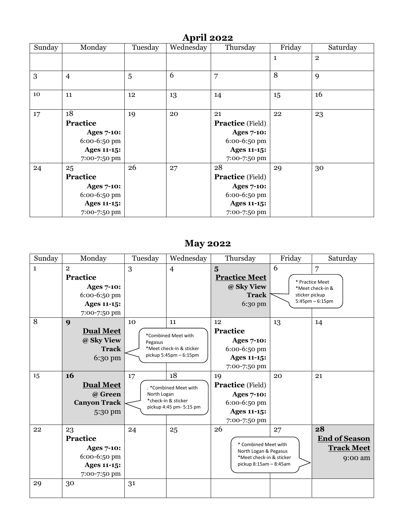| <b>April 2022</b> |                                                                                                           |         |           |                                                                                                                          |              |                |  |  |
|-------------------|-----------------------------------------------------------------------------------------------------------|---------|-----------|--------------------------------------------------------------------------------------------------------------------------|--------------|----------------|--|--|
| Sunday            | Monday                                                                                                    | Tuesday | Wednesday | Thursday                                                                                                                 | Friday       | Saturday       |  |  |
|                   |                                                                                                           |         |           |                                                                                                                          | $\mathbf{1}$ | $\overline{2}$ |  |  |
| 3                 | $\overline{4}$                                                                                            | 5       | 6         | 7                                                                                                                        | 8            | 9              |  |  |
| 10                | 11                                                                                                        | 12      | 13        | 14                                                                                                                       | 15           | 16             |  |  |
| 17                | 18<br>Practice<br><b>Ages 7-10:</b><br>6:00-6:50 pm<br><b>Ages 11-15:</b>                                 | 19      | 20        | 21<br><b>Practice</b> (Field)<br><b>Ages 7-10:</b><br>6:00-6:50 pm<br><b>Ages 11-15:</b>                                 | 22           | 23             |  |  |
| 24                | 7:00-7:50 pm<br>25<br>Practice<br><b>Ages 7-10:</b><br>6:00-6:50 pm<br><b>Ages 11-15:</b><br>7:00-7:50 pm | 26      | 27        | 7:00-7:50 pm<br>28<br><b>Practice</b> (Field)<br><b>Ages 7-10:</b><br>6:00-6:50 pm<br><b>Ages 11-15:</b><br>7:00-7:50 pm | 29           | 30             |  |  |

## **May 2022**

| Sunday       | Monday                                                                                                | Tuesday                                                                                | Wednesday                                                                             | Thursday                                                                                                                   | Friday              | Saturday                                                         |
|--------------|-------------------------------------------------------------------------------------------------------|----------------------------------------------------------------------------------------|---------------------------------------------------------------------------------------|----------------------------------------------------------------------------------------------------------------------------|---------------------|------------------------------------------------------------------|
| $\mathbf{1}$ | $\overline{2}$<br>Practice<br><b>Ages 7-10:</b><br>6:00-6:50 pm<br><b>Ages 11-15:</b><br>7:00-7:50 pm | 3                                                                                      | $\overline{4}$                                                                        | $\overline{\mathbf{5}}$<br><b>Practice Meet</b><br>@ Sky View<br><b>Track</b><br>6:30 pm                                   | 6<br>sticker pickup | 7<br>* Practice Meet<br>*Meet check-in &<br>$5:45$ pm $-6:15$ pm |
| 8<br>15      | 9<br><b>Dual Meet</b><br>@ Sky View<br><b>Track</b><br>6:30 pm<br>16<br><b>Dual Meet</b>              | 10<br>Pegasus<br>17                                                                    | 11<br>*Combined Meet with<br>*Meet check-in & sticker<br>pickup 5:45pm - 6:15pm<br>18 | 12<br>Practice<br><b>Ages 7-10:</b><br>6:00-6:50 pm<br><b>Ages 11-15:</b><br>7:00-7:50 pm<br>19<br><b>Practice</b> (Field) | 13<br>20            | 14<br>21                                                         |
|              | @ Green<br><b>Canyon Track</b><br>5:30 pm                                                             | . *Combined Meet with<br>North Logan<br>*check-in & sticker<br>pickup 4:45 pm- 5:15 pm |                                                                                       | <b>Ages 7-10:</b><br>6:00-6:50 pm<br><b>Ages 11-15:</b><br>7:00-7:50 pm                                                    |                     |                                                                  |
| 22<br>29     | 23<br>Practice<br><b>Ages 7-10:</b><br>6:00-6:50 pm<br>Ages 11-15:<br>7:00-7:50 pm<br>30              | 24<br>25<br>31                                                                         |                                                                                       | 26<br>27<br>* Combined Meet with<br>North Logan & Pegasus<br>*Meet check-in & sticker<br>pickup 8:15am - 8:45am            |                     | 28<br><b>End of Season</b><br><b>Track Meet</b><br>9:00 am       |